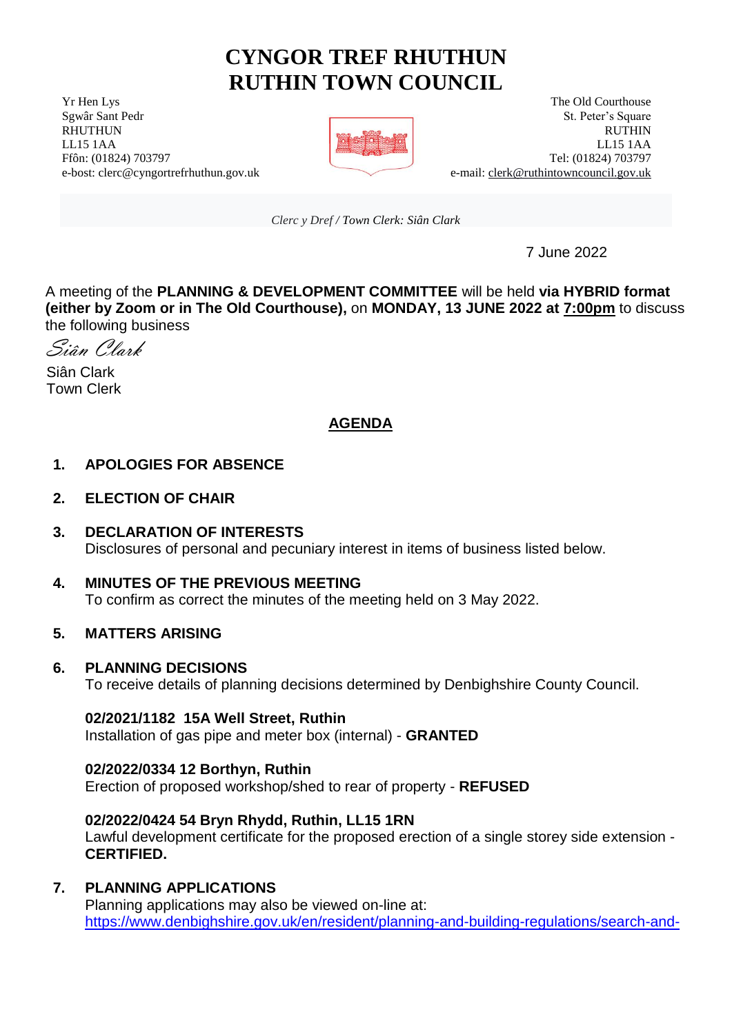# **CYNGOR TREF RHUTHUN RUTHIN TOWN COUNCIL**

**The Old Courthouse** The Old Courthouse The Old Courthouse



Sex Sant Pedr St. Peter's Square St. Peter's Square St. Peter's Square St. Peter's Square RHUTHUN RUTHIN RUTHIN RUTHIN RUTHIN RUTHIN RUTHIN RUTHIN RUTHIN RUTHIN RUTHIN RUTHIN RUTHIN LL15 1AA LL15 1AA Ffôn: (01824) 703797 Tel: (01824) 703797 e-bost: clerc@cyngortrefrhuthun.gov.uk e-mail: [clerk@ruthintowncouncil.gov.uk](mailto:clerk@ruthintowncouncil.gov.uk)

*Clerc y Dref / Town Clerk: Siân Clark*

7 June 2022

A meeting of the **PLANNING & DEVELOPMENT COMMITTEE** will be held **via HYBRID format (either by Zoom or in The Old Courthouse),** on **MONDAY, 13 JUNE 2022 at 7:00pm** to discuss the following business

Siân Clark

Siân Clark Town Clerk

# **AGENDA**

- **1. APOLOGIES FOR ABSENCE**
- **2. ELECTION OF CHAIR**
- **3. DECLARATION OF INTERESTS**  Disclosures of personal and pecuniary interest in items of business listed below.
- **4. MINUTES OF THE PREVIOUS MEETING**  To confirm as correct the minutes of the meeting held on 3 May 2022.
- **5. MATTERS ARISING**
- **6. PLANNING DECISIONS** To receive details of planning decisions determined by Denbighshire County Council.

**02/2021/1182 15A Well Street, Ruthin** Installation of gas pipe and meter box (internal) - **GRANTED**

**02/2022/0334 12 Borthyn, Ruthin** Erection of proposed workshop/shed to rear of property - **REFUSED**

**02/2022/0424 54 Bryn Rhydd, Ruthin, LL15 1RN** Lawful development certificate for the proposed erection of a single storey side extension - **CERTIFIED.**

# **7. PLANNING APPLICATIONS**

Planning applications may also be viewed on-line at: [https://www.denbighshire.gov.uk/en/resident/planning-and-building-regulations/search-and-](https://www.denbighshire.gov.uk/en/resident/planning-and-building-regulations/search-and-comment-on-applications.aspx)